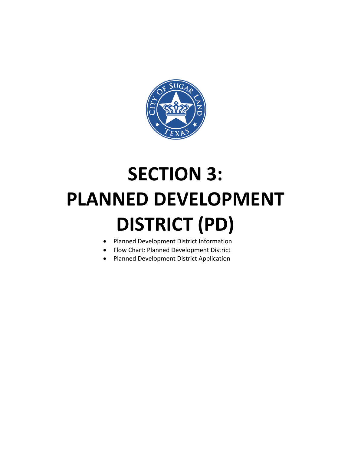

# **SECTION 3: PLANNED DEVELOPMENT DISTRICT (PD)**

- Planned Development District Information
- Flow Chart: Planned Development District
- Planned Development District Application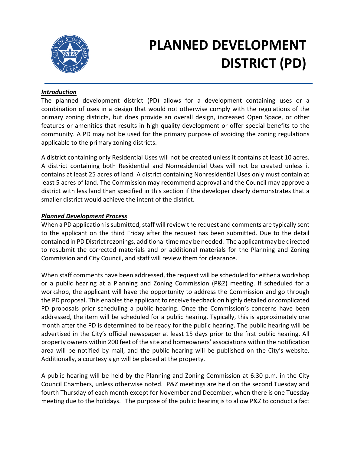

# **PLANNED DEVELOPMENT DISTRICT (PD)**

#### *Introduction*

The planned development district (PD) allows for a development containing uses or a combination of uses in a design that would not otherwise comply with the regulations of the primary zoning districts, but does provide an overall design, increased Open Space, or other features or amenities that results in high quality development or offer special benefits to the community. A PD may not be used for the primary purpose of avoiding the zoning regulations applicable to the primary zoning districts.

A district containing only Residential Uses will not be created unless it contains at least 10 acres. A district containing both Residential and Nonresidential Uses will not be created unless it contains at least 25 acres of land. A district containing Nonresidential Uses only must contain at least 5 acres of land. The Commission may recommend approval and the Council may approve a district with less land than specified in this section if the developer clearly demonstrates that a smaller district would achieve the intent of the district.

#### *Planned Development Process*

When a PD application is submitted, staff will review the request and comments are typically sent to the applicant on the third Friday after the request has been submitted. Due to the detail contained in PD District rezonings, additional time may be needed. The applicant may be directed to resubmit the corrected materials and or additional materials for the Planning and Zoning Commission and City Council, and staff will review them for clearance.

When staff comments have been addressed, the request will be scheduled for either a workshop or a public hearing at a Planning and Zoning Commission (P&Z) meeting. If scheduled for a workshop, the applicant will have the opportunity to address the Commission and go through the PD proposal. This enables the applicant to receive feedback on highly detailed or complicated PD proposals prior scheduling a public hearing. Once the Commission's concerns have been addressed, the item will be scheduled for a public hearing. Typically, this is approximately one month after the PD is determined to be ready for the public hearing. The public hearing will be advertised in the City's official newspaper at least 15 days prior to the first public hearing. All property owners within 200 feet of the site and homeowners' associations within the notification area will be notified by mail, and the public hearing will be published on the City's website. Additionally, a courtesy sign will be placed at the property.

A public hearing will be held by the Planning and Zoning Commission at 6:30 p.m. in the City Council Chambers, unless otherwise noted. P&Z meetings are held on the second Tuesday and fourth Thursday of each month except for November and December, when there is one Tuesday meeting due to the holidays. The purpose of the public hearing is to allow P&Z to conduct a fact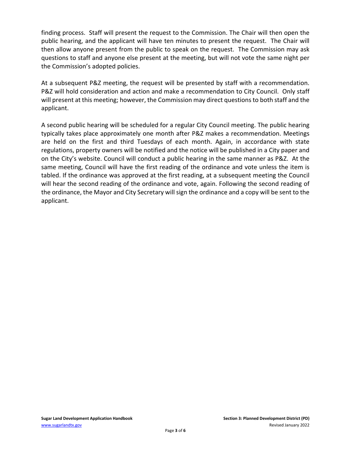finding process. Staff will present the request to the Commission. The Chair will then open the public hearing, and the applicant will have ten minutes to present the request. The Chair will then allow anyone present from the public to speak on the request. The Commission may ask questions to staff and anyone else present at the meeting, but will not vote the same night per the Commission's adopted policies.

At a subsequent P&Z meeting, the request will be presented by staff with a recommendation. P&Z will hold consideration and action and make a recommendation to City Council. Only staff will present at this meeting; however, the Commission may direct questions to both staff and the applicant.

A second public hearing will be scheduled for a regular City Council meeting. The public hearing typically takes place approximately one month after P&Z makes a recommendation. Meetings are held on the first and third Tuesdays of each month. Again, in accordance with state regulations, property owners will be notified and the notice will be published in a City paper and on the City's website. Council will conduct a public hearing in the same manner as P&Z. At the same meeting, Council will have the first reading of the ordinance and vote unless the item is tabled. If the ordinance was approved at the first reading, at a subsequent meeting the Council will hear the second reading of the ordinance and vote, again. Following the second reading of the ordinance, the Mayor and City Secretary will sign the ordinance and a copy will be sent to the applicant.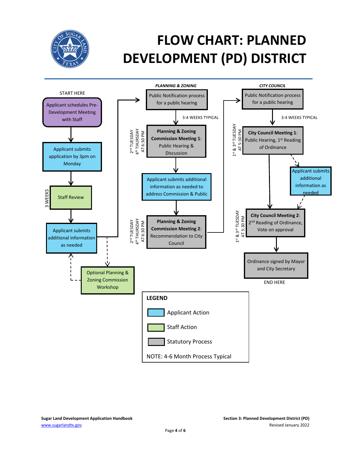

# **FLOW CHART: PLANNED DEVELOPMENT (PD) DISTRICT**

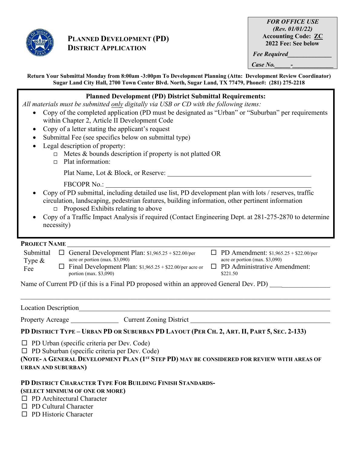

### **PLANNED DEVELOPMENT (PD) DISTRICT APPLICATION**

*FOR OFFICE USE (Rev. 01/01/22)* **Accounting Code: ZC 2022 Fee: See below**

*Fee Required\_\_\_\_\_\_\_\_\_\_\_\_\_\_*

*Case No.* 

**Return Your Submittal Monday from 8:00am -3:00pm To Development Planning (Attn: Development Review Coordinator) Sugar Land City Hall, 2700 Town Center Blvd. North, Sugar Land, TX 77479, Phone#: (281) 275-2218**

#### **Planned Development (PD) District Submittal Requirements:**

*All materials must be submitted only digitally via USB or CD with the following items:*

- Copy of the completed application (PD must be designated as "Urban" or "Suburban" per requirements within Chapter 2, Article II Development Code
- Copy of a letter stating the applicant's request
- Submittal Fee (see specifics below on submittal type)
- Legal description of property:
	- $\Box$  Metes & bounds description if property is not platted OR
	- □ Plat information:

Plat Name, Lot & Block, or Reserve:

- FBCOPR No.:
- Copy of PD submittal, including detailed use list, PD development plan with lots / reserves, traffic circulation, landscaping, pedestrian features, building information, other pertinent information  $\Box$  Proposed Exhibits relating to above
- Copy of a Traffic Impact Analysis if required (Contact Engineering Dept. at 281-275-2870 to determine necessity)

#### **PROJECT NAME**

| Submittal        | $\Box$ General Development Plan: \$1,965.25 + \$22.00/per                                                                       | $\Box$ PD Amendment: \$1,965.25 + \$22.00/per                                       |
|------------------|---------------------------------------------------------------------------------------------------------------------------------|-------------------------------------------------------------------------------------|
| Type $\&$<br>Fee | acre or portion (max. $$3,090$ )<br>$\Box$ Final Development Plan: \$1,965.25 + \$22.00/per acre or<br>portion (max. $$3,090$ ) | acre or portion (max. $$3,090$ )<br>$\Box$ PD Administrative Amendment:<br>\$221.50 |

Name of Current PD (if this is a Final PD proposed within an approved General Dev. PD)

Location Description

Property Acreage Current Zoning District

PD DISTRICT TYPE - URBAN PD OR SUBURBAN PD LAYOUT (PER CH. 2, ART. II, PART 5, SEC. 2-133)

 $\Box$  PD Urban (specific criteria per Dev. Code)

 $\Box$  PD Suburban (specific criteria per Dev. Code)

**(NOTE- A GENERAL DEVELOPMENT PLAN (1ST STEP PD) MAY BE CONSIDERED FOR REVIEW WITH AREAS OF URBAN AND SUBURBAN)**

## **PD DISTRICT CHARACTER TYPE FOR BUILDING FINISH STANDARDS-**

### **(SELECT MINIMUM OF ONE OR MORE)**

- □ PD Architectural Character
- $\Box$  PD Cultural Character
- □ PD Historic Character